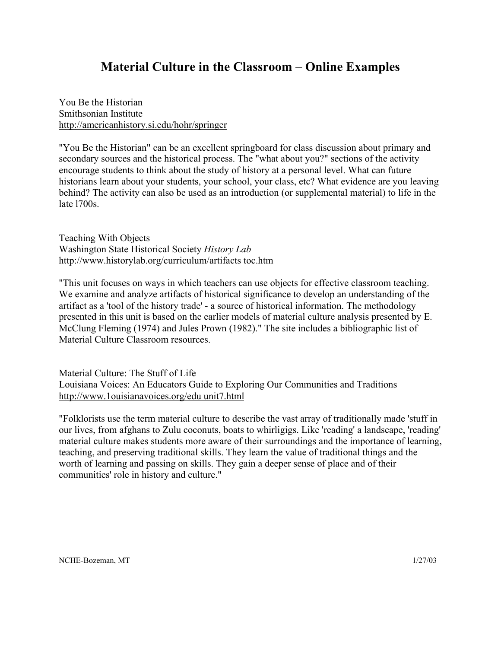## **Material Culture in the Classroom – Online Examples**

You Be the Historian Smithsonian Institute http://americanhistory.si.edu/hohr/springer

"You Be the Historian" can be an excellent springboard for class discussion about primary and secondary sources and the historical process. The "what about you?" sections of the activity encourage students to think about the study of history at a personal level. What can future historians learn about your students, your school, your class, etc? What evidence are you leaving behind? The activity can also be used as an introduction (or supplemental material) to life in the late l700s.

Teaching With Objects Washington State Historical Society *History Lab* http://www.historylab.org/curriculum/artifacts toc.htm

"This unit focuses on ways in which teachers can use objects for effective classroom teaching. We examine and analyze artifacts of historical significance to develop an understanding of the artifact as a 'tool of the history trade' - a source of historical information. The methodology presented in this unit is based on the earlier models of material culture analysis presented by E. McClung Fleming (1974) and Jules Prown (1982)." The site includes a bibliographic list of Material Culture Classroom resources.

Material Culture: The Stuff of Life Louisiana Voices: An Educators Guide to Exploring Our Communities and Traditions http://www.1ouisianavoices.org/edu unit7.html

"Folklorists use the term material culture to describe the vast array of traditionally made 'stuff in our lives, from afghans to Zulu coconuts, boats to whirligigs. Like 'reading' a landscape, 'reading' material culture makes students more aware of their surroundings and the importance of learning, teaching, and preserving traditional skills. They learn the value of traditional things and the worth of learning and passing on skills. They gain a deeper sense of place and of their communities' role in history and culture."